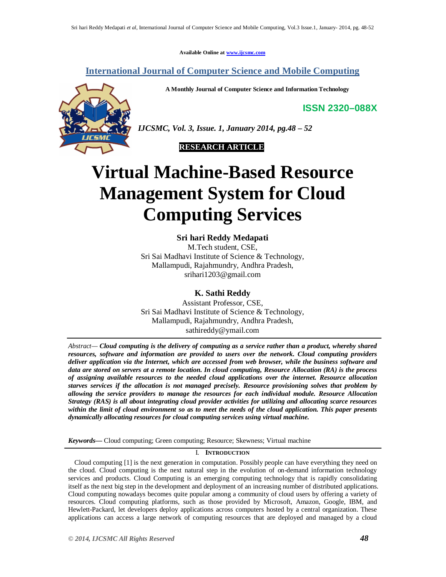**Available Online at www.ijcsmc.com**

**International Journal of Computer Science and Mobile Computing**

**A Monthly Journal of Computer Science and Information Technology**

**ISSN 2320–088X**



*IJCSMC, Vol. 3, Issue. 1, January 2014, pg.48 – 52*



# **Virtual Machine-Based Resource Management System for Cloud Computing Services**

**Sri hari Reddy Medapati** M.Tech student, CSE, Sri Sai Madhavi Institute of Science & Technology, Mallampudi, Rajahmundry, Andhra Pradesh, srihari1203@gmail.com

**K. Sathi Reddy** Assistant Professor, CSE, Sri Sai Madhavi Institute of Science & Technology, Mallampudi, Rajahmundry, Andhra Pradesh, sathireddy@ymail.com

*Abstract— Cloud computing is the delivery of computing as a service rather than a product, whereby shared resources, software and information are provided to users over the network. Cloud computing providers deliver application via the Internet, which are accessed from web browser, while the business software and data are stored on servers at a remote location. In cloud computing, Resource Allocation (RA) is the process of assigning available resources to the needed cloud applications over the internet. Resource allocation starves services if the allocation is not managed precisely. Resource provisioning solves that problem by allowing the service providers to manage the resources for each individual module. Resource Allocation Strategy (RAS) is all about integrating cloud provider activities for utilizing and allocating scarce resources within the limit of cloud environment so as to meet the needs of the cloud application. This paper presents dynamically allocating resources for cloud computing services using virtual machine.*

*Keywords—* Cloud computing; Green computing; Resource; Skewness; Virtual machine

# I. **INTRODUCTION**

 Cloud computing [1] is the next generation in computation. Possibly people can have everything they need on the cloud. Cloud computing is the next natural step in the evolution of on-demand information technology services and products. Cloud Computing is an emerging computing technology that is rapidly consolidating itself as the next big step in the development and deployment of an increasing number of distributed applications. Cloud computing nowadays becomes quite popular among a community of cloud users by offering a variety of resources. Cloud computing platforms, such as those provided by Microsoft, Amazon, Google, IBM, and Hewlett-Packard, let developers deploy applications across computers hosted by a central organization. These applications can access a large network of computing resources that are deployed and managed by a cloud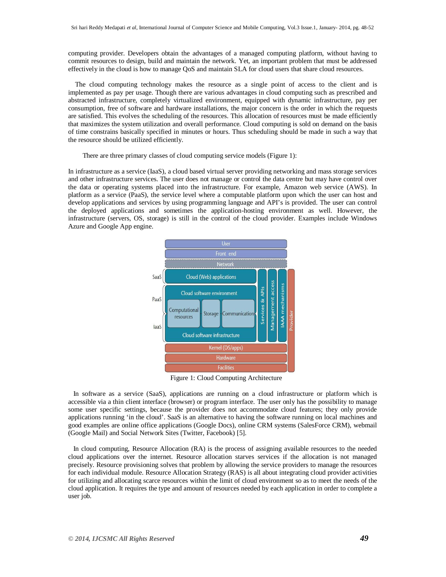computing provider. Developers obtain the advantages of a managed computing platform, without having to commit resources to design, build and maintain the network. Yet, an important problem that must be addressed effectively in the cloud is how to manage QoS and maintain SLA for cloud users that share cloud resources.

 The cloud computing technology makes the resource as a single point of access to the client and is implemented as pay per usage. Though there are various advantages in cloud computing such as prescribed and abstracted infrastructure, completely virtualized environment, equipped with dynamic infrastructure, pay per consumption, free of software and hardware installations, the major concern is the order in which the requests are satisfied. This evolves the scheduling of the resources. This allocation of resources must be made efficiently that maximizes the system utilization and overall performance. Cloud computing is sold on demand on the basis of time constrains basically specified in minutes or hours. Thus scheduling should be made in such a way that the resource should be utilized efficiently.

There are three primary classes of cloud computing service models (Figure 1):

In infrastructure as a service (IaaS), a cloud based virtual server providing networking and mass storage services and other infrastructure services. The user does not manage or control the data centre but may have control over the data or operating systems placed into the infrastructure. For example, Amazon web service (AWS). In platform as a service (PaaS), the service level where a computable platform upon which the user can host and develop applications and services by using programming language and API's is provided. The user can control the deployed applications and sometimes the application-hosting environment as well. However, the infrastructure (servers, OS, storage) is still in the control of the cloud provider. Examples include Windows Azure and Google App engine.



Figure 1: Cloud Computing Architecture

 In software as a service (SaaS), applications are running on a cloud infrastructure or platform which is accessible via a thin client interface (browser) or program interface. The user only has the possibility to manage some user specific settings, because the provider does not accommodate cloud features; they only provide applications running 'in the cloud'. SaaS is an alternative to having the software running on local machines and good examples are online office applications (Google Docs), online CRM systems (SalesForce CRM), webmail (Google Mail) and Social Network Sites (Twitter, Facebook) [5].

 In cloud computing, Resource Allocation (RA) is the process of assigning available resources to the needed cloud applications over the internet. Resource allocation starves services if the allocation is not managed precisely. Resource provisioning solves that problem by allowing the service providers to manage the resources for each individual module. Resource Allocation Strategy (RAS) is all about integrating cloud provider activities for utilizing and allocating scarce resources within the limit of cloud environment so as to meet the needs of the cloud application. It requires the type and amount of resources needed by each application in order to complete a user job.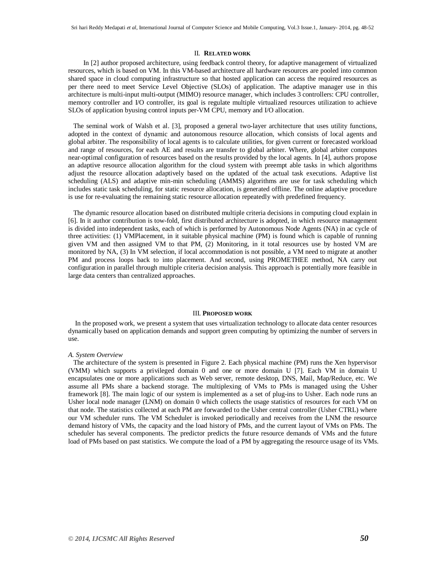# II. **RELATED WORK**

 In [2] author proposed architecture, using feedback control theory, for adaptive management of virtualized resources, which is based on VM. In this VM-based architecture all hardware resources are pooled into common shared space in cloud computing infrastructure so that hosted application can access the required resources as per there need to meet Service Level Objective (SLOs) of application. The adaptive manager use in this architecture is multi-input multi-output (MIMO) resource manager, which includes 3 controllers: CPU controller, memory controller and I/O controller, its goal is regulate multiple virtualized resources utilization to achieve SLOs of application byusing control inputs per-VM CPU, memory and I/O allocation.

 The seminal work of Walsh et al. [3], proposed a general two-layer architecture that uses utility functions, adopted in the context of dynamic and autonomous resource allocation, which consists of local agents and global arbiter. The responsibility of local agents is to calculate utilities, for given current or forecasted workload and range of resources, for each AE and results are transfer to global arbiter. Where, global arbiter computes near-optimal configuration of resources based on the results provided by the local agents. In [4], authors propose an adaptive resource allocation algorithm for the cloud system with preempt able tasks in which algorithms adjust the resource allocation adaptively based on the updated of the actual task executions. Adaptive list scheduling (ALS) and adaptive min-min scheduling (AMMS) algorithms are use for task scheduling which includes static task scheduling, for static resource allocation, is generated offline. The online adaptive procedure is use for re-evaluating the remaining static resource allocation repeatedly with predefined frequency.

 The dynamic resource allocation based on distributed multiple criteria decisions in computing cloud explain in [6]. In it author contribution is tow-fold, first distributed architecture is adopted, in which resource management is divided into independent tasks, each of which is performed by Autonomous Node Agents (NA) in ac cycle of three activities: (1) VMPlacement, in it suitable physical machine (PM) is found which is capable of running given VM and then assigned VM to that PM, (2) Monitoring, in it total resources use by hosted VM are monitored by NA, (3) In VM selection, if local accommodation is not possible, a VM need to migrate at another PM and process loops back to into placement. And second, using PROMETHEE method, NA carry out configuration in parallel through multiple criteria decision analysis. This approach is potentially more feasible in large data centers than centralized approaches.

# III. **PROPOSED WORK**

 In the proposed work, we present a system that uses virtualization technology to allocate data center resources dynamically based on application demands and support green computing by optimizing the number of servers in use.

#### *A. System Overview*

 The architecture of the system is presented in Figure 2. Each physical machine (PM) runs the Xen hypervisor (VMM) which supports a privileged domain 0 and one or more domain U [7]. Each VM in domain U encapsulates one or more applications such as Web server, remote desktop, DNS, Mail, Map/Reduce, etc. We assume all PMs share a backend storage. The multiplexing of VMs to PMs is managed using the Usher framework [8]. The main logic of our system is implemented as a set of plug-ins to Usher. Each node runs an Usher local node manager (LNM) on domain 0 which collects the usage statistics of resources for each VM on that node. The statistics collected at each PM are forwarded to the Usher central controller (Usher CTRL) where our VM scheduler runs. The VM Scheduler is invoked periodically and receives from the LNM the resource demand history of VMs, the capacity and the load history of PMs, and the current layout of VMs on PMs. The scheduler has several components. The predictor predicts the future resource demands of VMs and the future load of PMs based on past statistics. We compute the load of a PM by aggregating the resource usage of its VMs.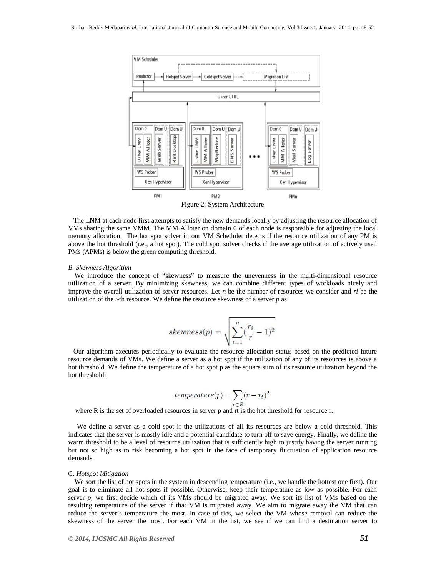

Figure 2: System Architecture

 The LNM at each node first attempts to satisfy the new demands locally by adjusting the resource allocation of VMs sharing the same VMM. The MM Alloter on domain 0 of each node is responsible for adjusting the local memory allocation. The hot spot solver in our VM Scheduler detects if the resource utilization of any PM is above the hot threshold (i.e., a hot spot). The cold spot solver checks if the average utilization of actively used PMs (APMs) is below the green computing threshold.

### *B. Skewness Algorithm*

We introduce the concept of "skewness" to measure the unevenness in the multi-dimensional resource utilization of a server. By minimizing skewness, we can combine different types of workloads nicely and improve the overall utilization of server resources. Let *n* be the number of resources we consider and *ri* be the utilization of the *i*-th resource. We define the resource skewness of a server *p* as

$$
skewness(p) = \sqrt{\sum_{i=1}^n (\frac{r_i}{\overline{r}}-1)^2}
$$

 Our algorithm executes periodically to evaluate the resource allocation status based on the predicted future resource demands of VMs. We define a server as a hot spot if the utilization of any of its resources is above a hot threshold. We define the temperature of a hot spot p as the square sum of its resource utilization beyond the hot threshold:

$$
temperature(p) = \sum_{r \in R} (r - r_t)^2
$$

where R is the set of overloaded resources in server p and rt is the hot threshold for resource r.

 We define a server as a cold spot if the utilizations of all its resources are below a cold threshold. This indicates that the server is mostly idle and a potential candidate to turn off to save energy. Finally, we define the warm threshold to be a level of resource utilization that is sufficiently high to justify having the server running but not so high as to risk becoming a hot spot in the face of temporary fluctuation of application resource demands.

#### C. *Hotspot Mitigation*

We sort the list of hot spots in the system in descending temperature (i.e., we handle the hottest one first). Our goal is to eliminate all hot spots if possible. Otherwise, keep their temperature as low as possible. For each server *p*, we first decide which of its VMs should be migrated away. We sort its list of VMs based on the resulting temperature of the server if that VM is migrated away. We aim to migrate away the VM that can reduce the server's temperature the most. In case of ties, we select the VM whose removal can reduce the skewness of the server the most. For each VM in the list, we see if we can find a destination server to